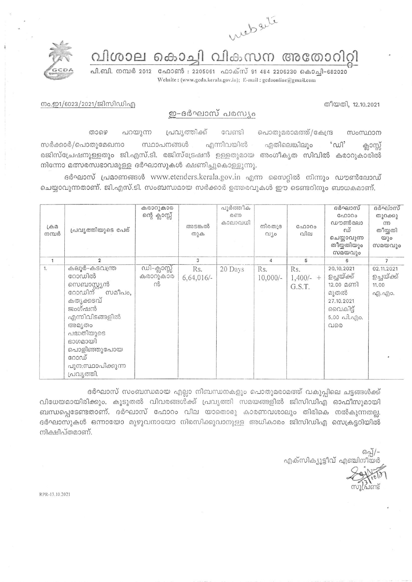

വിശാല കൊച്ചി വികസന അതോറിറ്റി

പി.ബി. നമ്പർ 2012 - ഫോൺ : 2205061 - ഫാക്സ് 91 484 2206230 കൊച്ചി-682020 Website: (www.gcda.kerala.gov.in); E-mail: gcdaonline@gmail.com



നം.ഇ1/6023/2021/ജിസിഡിഎ

തീയതി, 12.10.2021

## ഇ-ദർഘാസ് പരസ്യം

പൊതുമരാമത്ത്/കേന്ദ്ര താഴെ പറയുന്ന പ്രവൃത്തിക്ക് വേണ്ടി സംസ്ഥാന എന്നിവയിൽ സർക്കാർ/പൊതുമേഖനാ സ്ഥാപനങ്ങൾ ഏതിലെങ്കിലും  $\omega$ <sup>2</sup> ക്ലാസ്സ് രജിസ്പ്രേഷനുള്ളതും ജി.എസ്.ടി. രജിസ്ട്രേഷൻ ഉള്ളതുമായ അംഗീകൃത സിവിൽ കരാറുകാരിൽ നിന്നോ മത്സരസ്വഭാവമുള്ള ദർഘാസുകൾ ക്ഷണിച്ചുകൊള്ളുന്നു.

ദർഘാസ് പ്രമാണങ്ങൾ www.etenders.kerala.gov.in എന്ന സൈറ്റിൽ നിന്നും ഡൗൺലോഡ് ചെയ്യാവുന്നതാണ്. ജി.എസ്.ടി. സംബന്ധമായ സർക്കാർ ഉത്തരവുകൾ ഈ ടെണ്ടറിനും ബാധകമാണ്.

| $L \oplus \Omega$<br>നമ്പർ | പ്രവ്യത്തിയുടെ പേര്                                                                                                                                                                                | കരാറുകാര<br>ന്റെ ക്ലാസ്സ്    | അടങ്കൽ<br>തുക       | പൂർത്തീക<br>றை<br>കാലാവധി | നിരതദ്ര<br>$01$ jo | C <sub>0</sub> 0000<br>വില   | ദർഘാസ്<br>GAD300<br>ഡൗൺലോ<br>ഡ്<br>ചെയ്യാവുന്ന<br>തീയ്യതിയും<br>സമയവും                                               | ദർഘാസ്<br>തുറക്കു<br>m<br>തീയ്യതി<br>യും<br>സമയവും |
|----------------------------|----------------------------------------------------------------------------------------------------------------------------------------------------------------------------------------------------|------------------------------|---------------------|---------------------------|--------------------|------------------------------|----------------------------------------------------------------------------------------------------------------------|----------------------------------------------------|
| $\mathbf{1}$               | $\overline{2}$                                                                                                                                                                                     |                              | 3                   |                           | 4                  | 5                            | 6                                                                                                                    | $\overline{7}$                                     |
| 1.                         | കലൂർ-കടവന്ത്ര<br>റോഡിൽ<br>സെബാസ്റ്റ്യൻ<br>റോഡിന് സ<br>സമീപം,<br>കരൃക്കടവ്<br>ജംഗ്ഷൻ<br>എന്നിവിടങ്ങളിൽ<br>അമ്യതം<br>പദ്ധതിയുടെ<br>ഭാഗമായി<br>പൊളിഞ്ഞുപോയ<br>റോഡ്<br>പുന:സ്ഥാപിക്കുന്ന<br>പ്രവൃത്തി. | ഡി-ക്ലാസ്സ്<br>കരാറുകാര<br>ൻ | Rs.<br>$6,64,016/-$ | 20 Days                   | Rs.<br>$10,000/-$  | Rs.<br>$1,400/- +$<br>G.S.T. | 20.10.2021<br>ഉച്ചയ്ക്ക്<br>$12.00$ മണി<br>മുതൽ<br>27.10.2021<br>വൈകിട്ട്<br>$5.00 \n  n$ $n$ . $n$ $n$ $o$ .<br>വരെ | 02.11.2021<br>ഉച്ചയ്ക്ക്<br>11.00<br>എ.എം.         |

ദർഘാസ് സംബന്ധമായ എല്ലാ നിബന്ധനകളും പൊതുമരാമത്ത് വകുപ്പിലെ ചട്ടങ്ങൾക്ക് വിധേയമായിരിക്കും. കൂടുതൽ വിവരങ്ങൾക്ക് പ്രവൃത്തി സമയങ്ങളിൽ ജിസിഡിഎ ഓഫീസുമായി ബന്ധപ്പെടേണ്ടതാണ്. ദർഘാസ് ഫോറം വില യാതൊരു കാരണവശാലും തിരികെ നൽകുന്നതല്ല. ദർഘാസുകൾ ഒന്നായോ മുഴുവനായോ നിരസിക്കുവാനുള്ള അധികാരം ജിസിഡിഎ സെക്രട്ടറിയിൽ നിക്ഷിപ്തമാണ്.

ഒപ്പ്/-എക്സിക്യൂട്ടീവ് എഞ്ചിന

RPR-13 10 2021